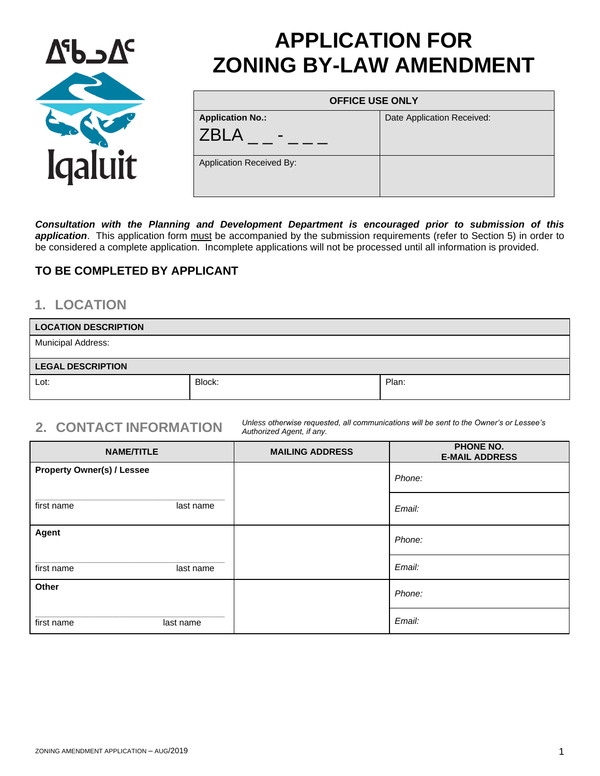

# **APPLICATION FOR ZONING BY-LAW AMENDMENT**

| <b>OFFICE USE ONLY</b>   |                            |
|--------------------------|----------------------------|
| <b>Application No.:</b>  | Date Application Received: |
| <b>7BI A</b>             |                            |
| Application Received By: |                            |

*Consultation with the Planning and Development Department is encouraged prior to submission of this* application. This application form must be accompanied by the submission requirements (refer to Section 5) in order to be considered a complete application. Incomplete applications will not be processed until all information is provided.

### **TO BE COMPLETED BY APPLICANT**

## **1. LOCATION**

| <b>LOCATION DESCRIPTION</b> |        |       |
|-----------------------------|--------|-------|
| <b>Municipal Address:</b>   |        |       |
| <b>LEGAL DESCRIPTION</b>    |        |       |
| Lot:                        | Block: | Plan: |

**2. CONTACT INFORMATION** *Unless otherwise requested, all communications will be sent to the Owner's or Lessee's Authorized Agent, if any.*

| <b>NAME/TITLE</b>                 | <b>MAILING ADDRESS</b> | <b>PHONE NO.</b><br><b>E-MAIL ADDRESS</b> |
|-----------------------------------|------------------------|-------------------------------------------|
| <b>Property Owner(s) / Lessee</b> |                        | Phone:                                    |
| first name<br>last name           |                        | Email:                                    |
| Agent                             |                        | Phone:                                    |
| first name<br>last name           |                        | Email:                                    |
| Other                             |                        | Phone:                                    |
| first name<br>last name           |                        | Email:                                    |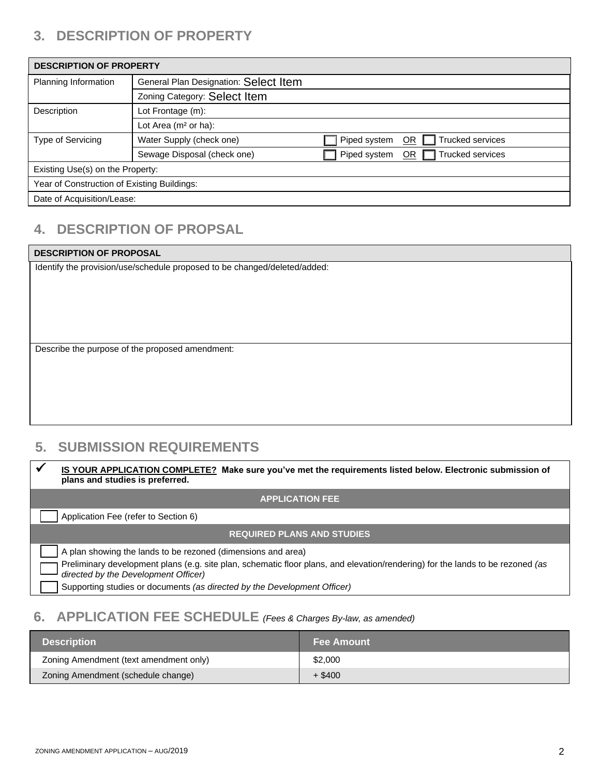# **3. DESCRIPTION OF PROPERTY**

| General Plan Designation: Select Item<br>Planning Information<br>Zoning Category: Select Item<br>Description<br>Lot Frontage (m):<br>Lot Area (m <sup>2</sup> or ha): | <b>DESCRIPTION OF PROPERTY</b> |                          |              |                               |
|-----------------------------------------------------------------------------------------------------------------------------------------------------------------------|--------------------------------|--------------------------|--------------|-------------------------------|
|                                                                                                                                                                       |                                |                          |              |                               |
|                                                                                                                                                                       |                                |                          |              |                               |
|                                                                                                                                                                       |                                |                          |              |                               |
|                                                                                                                                                                       |                                |                          |              |                               |
|                                                                                                                                                                       | <b>Type of Servicing</b>       | Water Supply (check one) | Piped system | Trucked services<br><b>OR</b> |
| OR $\Box$ Trucked services<br>Piped system<br>Sewage Disposal (check one)                                                                                             |                                |                          |              |                               |
| Existing Use(s) on the Property:                                                                                                                                      |                                |                          |              |                               |
| Year of Construction of Existing Buildings:                                                                                                                           |                                |                          |              |                               |
| Date of Acquisition/Lease:                                                                                                                                            |                                |                          |              |                               |

# **4. DESCRIPTION OF PROPSAL**

#### **DESCRIPTION OF PROPOSAL**

Identify the provision/use/schedule proposed to be changed/deleted/added:

Describe the purpose of the proposed amendment:

# **5. SUBMISSION REQUIREMENTS**

|                                                                                                                                                                        | <b>IS YOUR APPLICATION COMPLETE?</b> Make sure you've met the requirements listed below. Electronic submission of<br>plans and studies is preferred. |
|------------------------------------------------------------------------------------------------------------------------------------------------------------------------|------------------------------------------------------------------------------------------------------------------------------------------------------|
|                                                                                                                                                                        | <b>APPLICATION FEE</b>                                                                                                                               |
|                                                                                                                                                                        | Application Fee (refer to Section 6)                                                                                                                 |
| <b>REQUIRED PLANS AND STUDIES</b>                                                                                                                                      |                                                                                                                                                      |
|                                                                                                                                                                        | A plan showing the lands to be rezoned (dimensions and area)                                                                                         |
| Preliminary development plans (e.g. site plan, schematic floor plans, and elevation/rendering) for the lands to be rezoned (as<br>directed by the Development Officer) |                                                                                                                                                      |
|                                                                                                                                                                        | Supporting studies or documents (as directed by the Development Officer)                                                                             |

# **6. APPLICATION FEE SCHEDULE** *(Fees & Charges By-law, as amended)*

| <b>Description</b>                     | <b>Fee Amount</b> |
|----------------------------------------|-------------------|
| Zoning Amendment (text amendment only) | \$2,000           |
| Zoning Amendment (schedule change)     | $+$ \$400         |